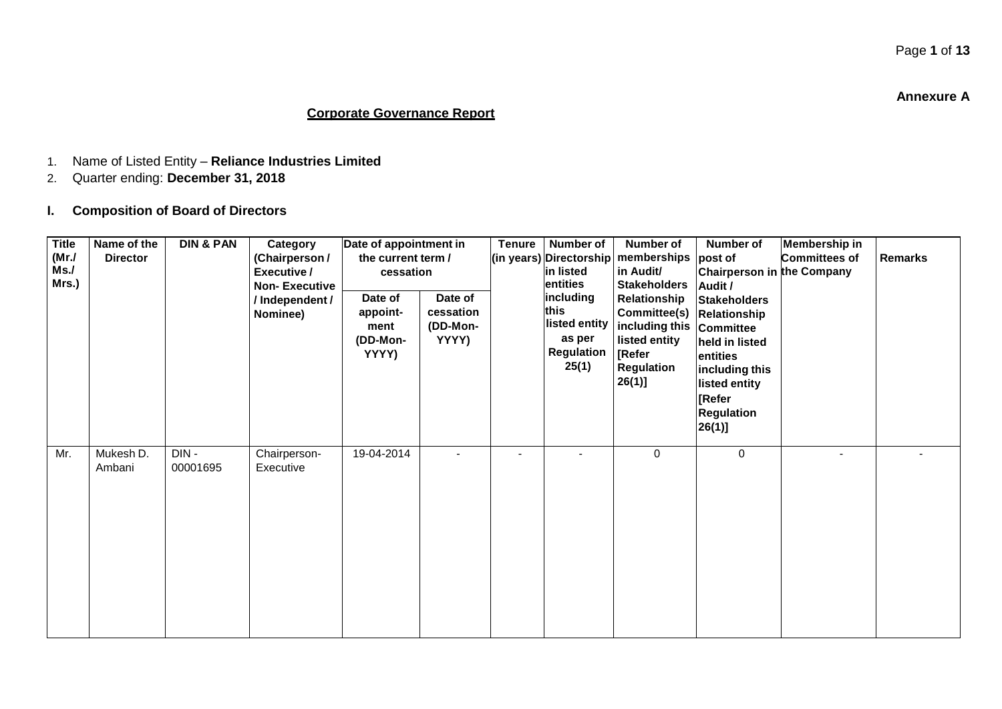**Annexure A**

#### **Corporate Governance Report**

- 1. Name of Listed Entity **Reliance Industries Limited**
- 2. Quarter ending: **December 31, 2018**

#### **I. Composition of Board of Directors**

| <b>Title</b><br>(Mr./<br>Ms./<br>Mrs.) | Name of the<br><b>Director</b> | <b>DIN &amp; PAN</b> | Category<br>(Chairperson /<br>Executive /<br><b>Non-Executive</b><br>/ Independent /<br>Nominee) | Date of appointment in<br>the current term /<br>cessation<br>Date of<br>appoint-<br>ment<br>(DD-Mon-<br>YYYY) | Date of<br>cessation<br>(DD-Mon-<br>YYYY) | <b>Tenure</b> | Number of<br>(in years) Directorship<br>in listed<br>entities<br>including<br>this<br>listed entity<br>as per<br><b>Regulation</b><br>25(1) | <b>Number of</b><br>memberships<br>in Audit/<br><b>Stakeholders</b><br>Relationship<br>Committee(s)<br>including this<br>listed entity<br>[Refer<br><b>Regulation</b><br>26(1)] | Number of<br>post of<br>Chairperson in the Company<br>Audit /<br><b>Stakeholders</b><br>Relationship<br><b>Committee</b><br>held in listed<br>entities<br>including this<br>listed entity<br><b>Refer</b><br><b>Regulation</b><br>$26(1)$ ] | <b>Membership in</b><br><b>Committees of</b> | <b>Remarks</b> |
|----------------------------------------|--------------------------------|----------------------|--------------------------------------------------------------------------------------------------|---------------------------------------------------------------------------------------------------------------|-------------------------------------------|---------------|---------------------------------------------------------------------------------------------------------------------------------------------|---------------------------------------------------------------------------------------------------------------------------------------------------------------------------------|---------------------------------------------------------------------------------------------------------------------------------------------------------------------------------------------------------------------------------------------|----------------------------------------------|----------------|
| Mr.                                    | Mukesh D.<br>Ambani            | DIN-<br>00001695     | Chairperson-<br>Executive                                                                        | 19-04-2014                                                                                                    |                                           |               |                                                                                                                                             | 0                                                                                                                                                                               | $\mathbf 0$                                                                                                                                                                                                                                 |                                              |                |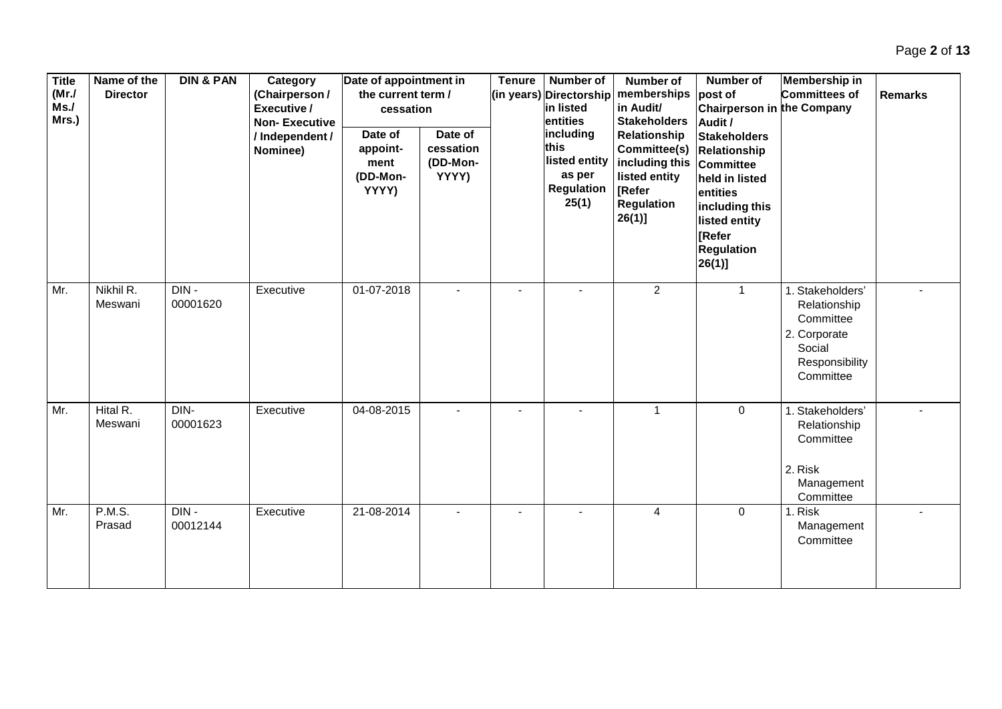| <b>Title</b><br>(MrJ)<br>Ms.<br>Mrs.) | Name of the<br><b>Director</b> | <b>DIN &amp; PAN</b> | Category<br>(Chairperson /<br>Executive /<br><b>Non-Executive</b><br>/ Independent /<br>Nominee) | Date of appointment in<br>the current term /<br>cessation<br>Date of<br>appoint-<br>ment<br>(DD-Mon-<br>YYYY) | Date of<br>cessation<br>(DD-Mon-<br>YYYY) | <b>Tenure</b> | <b>Number of</b><br>(in years) Directorship<br>in listed<br>entities<br>including<br>this<br>listed entity<br>as per<br><b>Regulation</b><br>25(1) | <b>Number of</b><br>memberships<br>in Audit/<br><b>Stakeholders</b><br>Relationship<br>Committee(s)<br>including this<br>listed entity<br><b>[Refer</b><br><b>Regulation</b><br>$26(1)$ ] | <b>Number of</b><br>post of<br>Chairperson in the Company<br>Audit /<br><b>Stakeholders</b><br><b>Relationship</b><br><b>Committee</b><br>held in listed<br>entities<br>including this<br>listed entity<br><b>[Refer</b><br><b>Regulation</b><br>$26(1)$ ] | <b>Membership in</b><br><b>Committees of</b>                                                           | <b>Remarks</b> |
|---------------------------------------|--------------------------------|----------------------|--------------------------------------------------------------------------------------------------|---------------------------------------------------------------------------------------------------------------|-------------------------------------------|---------------|----------------------------------------------------------------------------------------------------------------------------------------------------|-------------------------------------------------------------------------------------------------------------------------------------------------------------------------------------------|------------------------------------------------------------------------------------------------------------------------------------------------------------------------------------------------------------------------------------------------------------|--------------------------------------------------------------------------------------------------------|----------------|
| Mr.                                   | Nikhil R.<br>Meswani           | $DIN -$<br>00001620  | Executive                                                                                        | 01-07-2018                                                                                                    |                                           |               |                                                                                                                                                    | $\overline{2}$                                                                                                                                                                            | $\mathbf{1}$                                                                                                                                                                                                                                               | 1. Stakeholders'<br>Relationship<br>Committee<br>2. Corporate<br>Social<br>Responsibility<br>Committee |                |
| Mr.                                   | Hital R.<br>Meswani            | DIN-<br>00001623     | Executive                                                                                        | 04-08-2015                                                                                                    |                                           |               |                                                                                                                                                    | $\overline{1}$                                                                                                                                                                            | $\mathbf 0$                                                                                                                                                                                                                                                | 1. Stakeholders'<br>Relationship<br>Committee<br>2. Risk<br>Management<br>Committee                    |                |
| Mr.                                   | <b>P.M.S.</b><br>Prasad        | $DIN -$<br>00012144  | Executive                                                                                        | 21-08-2014                                                                                                    |                                           |               |                                                                                                                                                    | 4                                                                                                                                                                                         | $\mathbf 0$                                                                                                                                                                                                                                                | 1. Risk<br>Management<br>Committee                                                                     |                |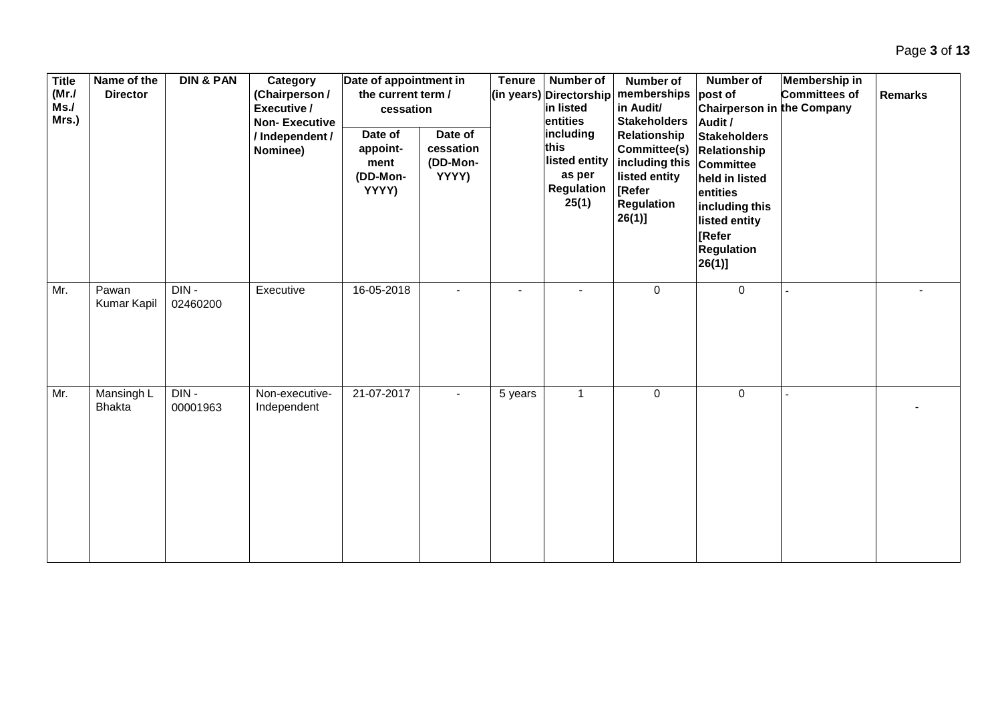| <b>Title</b><br>(MrJ)<br>Ms.<br>Mrs.) | Name of the<br><b>Director</b> | <b>DIN &amp; PAN</b> | Category<br>(Chairperson /<br>Executive /<br><b>Non-Executive</b><br>/ Independent /<br>Nominee) | Date of appointment in<br>the current term /<br>cessation<br>Date of<br>appoint-<br>ment<br>(DD-Mon-<br>YYYY) | Date of<br>cessation<br>(DD-Mon-<br>YYYY) | <b>Tenure</b> | Number of<br>(in years) Directorship<br>in listed<br>entities<br>including<br>this<br>listed entity<br>as per<br><b>Regulation</b><br>25(1) | Number of<br>memberships<br>in Audit/<br><b>Stakeholders</b><br>Relationship<br>Committee(s)<br>including this<br>listed entity<br>[Refer<br>Regulation<br>$26(1)$ ] | Number of<br>post of<br><b>Chairperson in the Company</b><br>Audit /<br><b>Stakeholders</b><br>Relationship<br>Committee<br>held in listed<br>entities<br>including this<br>listed entity<br>[Refer<br><b>Regulation</b><br>26(1) | Membership in<br><b>Committees of</b> | <b>Remarks</b> |
|---------------------------------------|--------------------------------|----------------------|--------------------------------------------------------------------------------------------------|---------------------------------------------------------------------------------------------------------------|-------------------------------------------|---------------|---------------------------------------------------------------------------------------------------------------------------------------------|----------------------------------------------------------------------------------------------------------------------------------------------------------------------|-----------------------------------------------------------------------------------------------------------------------------------------------------------------------------------------------------------------------------------|---------------------------------------|----------------|
| Mr.                                   | Pawan<br>Kumar Kapil           | DIN-<br>02460200     | Executive                                                                                        | 16-05-2018                                                                                                    |                                           |               |                                                                                                                                             | $\mathbf 0$                                                                                                                                                          | $\mathbf 0$                                                                                                                                                                                                                       |                                       |                |
| Mr.                                   | Mansingh L<br><b>Bhakta</b>    | DIN-<br>00001963     | Non-executive-<br>Independent                                                                    | 21-07-2017                                                                                                    |                                           | 5 years       | $\mathbf{1}$                                                                                                                                | $\mathbf 0$                                                                                                                                                          | $\mathbf 0$                                                                                                                                                                                                                       |                                       |                |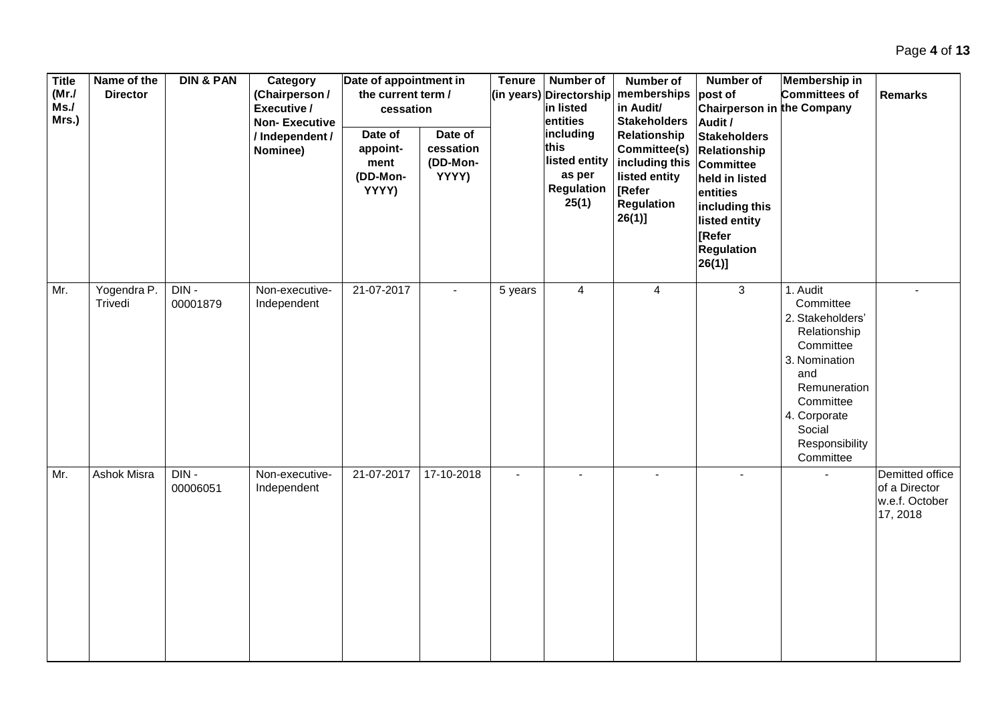| <b>Title</b><br>(MrJ)<br>Ms.<br>Mrs.) | Name of the<br><b>Director</b> | <b>DIN &amp; PAN</b> | Category<br>(Chairperson /<br>Executive /<br><b>Non-Executive</b><br>/Independent/<br>Nominee) | Date of appointment in<br>the current term /<br>cessation<br>Date of<br>appoint-<br>ment<br>(DD-Mon-<br>YYYY) | Date of<br>cessation<br>(DD-Mon-<br>YYYY) | <b>Tenure</b> | Number of<br>(in years) Directorship<br>in listed<br>entities<br>including<br>this<br>listed entity<br>as per<br><b>Regulation</b><br>25(1) | <b>Number of</b><br>memberships<br>in Audit/<br><b>Stakeholders</b><br>Relationship<br>Committee(s)<br>including this<br>listed entity<br>[Refer<br>Regulation<br>$26(1)$ ] | Number of<br>post of<br><b>Chairperson in the Company</b><br>Audit /<br><b>Stakeholders</b><br>Relationship<br>Committee<br>held in listed<br>entities<br>including this<br>listed entity<br>[Refer<br><b>Regulation</b><br> 26(1) | <b>Membership in</b><br>Committees of                                                                                                                                                | <b>Remarks</b>                                                 |
|---------------------------------------|--------------------------------|----------------------|------------------------------------------------------------------------------------------------|---------------------------------------------------------------------------------------------------------------|-------------------------------------------|---------------|---------------------------------------------------------------------------------------------------------------------------------------------|-----------------------------------------------------------------------------------------------------------------------------------------------------------------------------|------------------------------------------------------------------------------------------------------------------------------------------------------------------------------------------------------------------------------------|--------------------------------------------------------------------------------------------------------------------------------------------------------------------------------------|----------------------------------------------------------------|
| Mr.                                   | Yogendra P.<br>Trivedi         | DIN-<br>00001879     | Non-executive-<br>Independent                                                                  | 21-07-2017                                                                                                    |                                           | 5 years       | $\overline{4}$                                                                                                                              | $\overline{4}$                                                                                                                                                              | $\mathbf{3}$                                                                                                                                                                                                                       | 1. Audit<br>Committee<br>2. Stakeholders'<br>Relationship<br>Committee<br>3. Nomination<br>and<br>Remuneration<br>Committee<br>4. Corporate<br>Social<br>Responsibility<br>Committee |                                                                |
| Mr.                                   | Ashok Misra                    | $DIN -$<br>00006051  | Non-executive-<br>Independent                                                                  | 21-07-2017                                                                                                    | 17-10-2018                                | $\sim$        |                                                                                                                                             |                                                                                                                                                                             | $\blacksquare$                                                                                                                                                                                                                     |                                                                                                                                                                                      | Demitted office<br>of a Director<br>w.e.f. October<br>17, 2018 |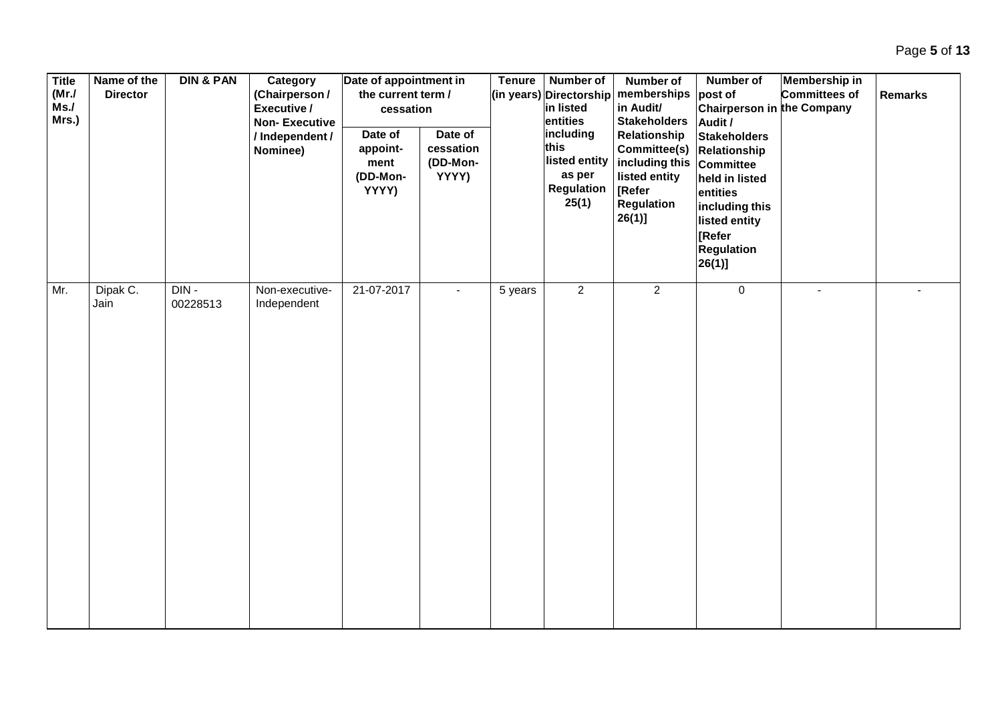| <b>Title</b><br>(MrJ)<br>Ms.<br>Mrs.) | Name of the<br><b>Director</b> | <b>DIN &amp; PAN</b> | Category<br>(Chairperson /<br>Executive /<br><b>Non-Executive</b><br>/ Independent /<br>Nominee) | Date of appointment in<br>the current term /<br>cessation<br>Date of<br>appoint-<br>ment<br>(DD-Mon-<br>YYYY) | Date of<br>cessation<br>(DD-Mon-<br>YYYY) | <b>Tenure</b> | <b>Number of</b><br>(in years) Directorship<br>in listed<br>entities<br>including<br>this<br>listed entity<br>as per<br>Regulation<br>25(1) | <b>Number of</b><br>memberships<br>in Audit/<br><b>Stakeholders</b><br>Relationship<br>Committee(s)<br>including this<br>listed entity<br>[Refer<br><b>Regulation</b><br>$26(1)$ ] | Number of<br>post of<br>Chairperson in the Company<br>Audit /<br><b>Stakeholders</b><br>Relationship<br><b>Committee</b><br>held in listed<br>entities<br>including this<br>listed entity<br>[Refer<br><b>Regulation</b><br>26(1)] | Membership in<br>Committees of | <b>Remarks</b> |
|---------------------------------------|--------------------------------|----------------------|--------------------------------------------------------------------------------------------------|---------------------------------------------------------------------------------------------------------------|-------------------------------------------|---------------|---------------------------------------------------------------------------------------------------------------------------------------------|------------------------------------------------------------------------------------------------------------------------------------------------------------------------------------|------------------------------------------------------------------------------------------------------------------------------------------------------------------------------------------------------------------------------------|--------------------------------|----------------|
| Mr.                                   | Dipak C.<br>Jain               | $DIN -$<br>00228513  | Non-executive-<br>Independent                                                                    | 21-07-2017                                                                                                    |                                           | 5 years       | $\overline{2}$                                                                                                                              | $\overline{2}$                                                                                                                                                                     | $\overline{0}$                                                                                                                                                                                                                     | $\blacksquare$                 | $\blacksquare$ |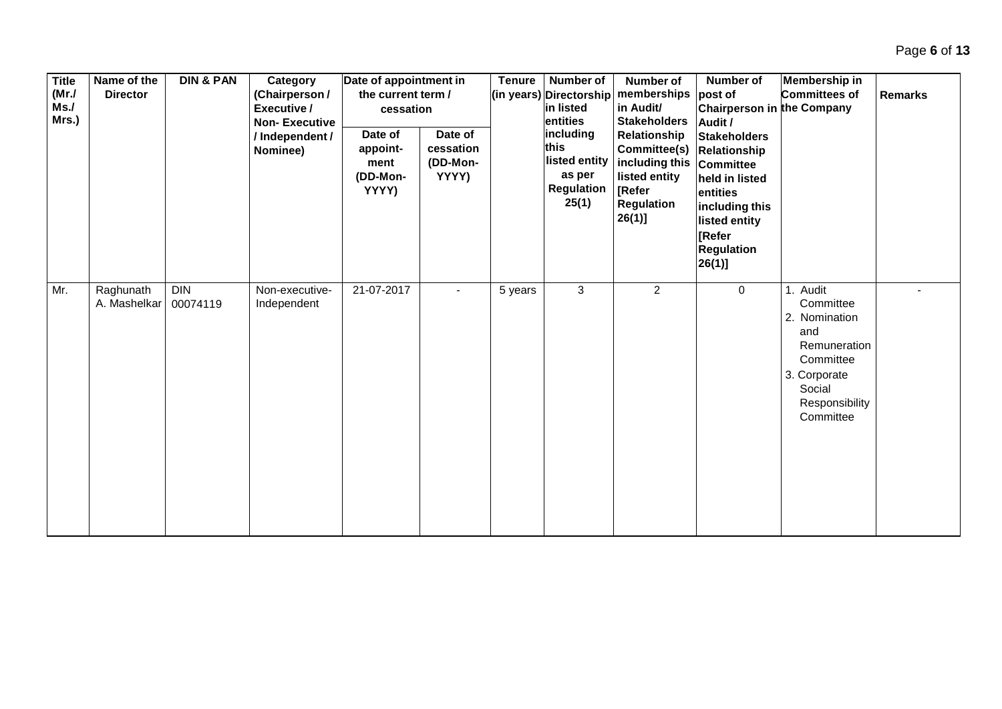| <b>Title</b><br>(Mr./<br>Ms.<br>Mrs.) | Name of the<br><b>Director</b> | <b>DIN &amp; PAN</b>   | Category<br>(Chairperson /<br>Executive /<br><b>Non-Executive</b><br>/Independent/<br>Nominee) | Date of appointment in<br>the current term /<br>cessation<br>Date of<br>appoint-<br>ment<br>(DD-Mon-<br>YYYY) | Date of<br>cessation<br>(DD-Mon-<br>YYYY) | <b>Tenure</b> | Number of<br>(in years) Directorship<br>in listed<br>entities<br>including<br>this<br>listed entity<br>as per<br><b>Regulation</b><br>25(1) | Number of<br>memberships<br>in Audit/<br><b>Stakeholders</b><br>Relationship<br>Committee(s)<br>including this<br>listed entity<br>[Refer<br><b>Regulation</b><br>$26(1)$ ] | Number of<br>post of<br>Chairperson in the Company<br>Audit /<br><b>Stakeholders</b><br>Relationship<br>Committee<br>held in listed<br>entities<br>including this<br>listed entity<br><b>[Refer</b><br><b>Regulation</b><br>$26(1)$ ] | Membership in<br><b>Committees of</b>                                                                                            | <b>Remarks</b> |
|---------------------------------------|--------------------------------|------------------------|------------------------------------------------------------------------------------------------|---------------------------------------------------------------------------------------------------------------|-------------------------------------------|---------------|---------------------------------------------------------------------------------------------------------------------------------------------|-----------------------------------------------------------------------------------------------------------------------------------------------------------------------------|---------------------------------------------------------------------------------------------------------------------------------------------------------------------------------------------------------------------------------------|----------------------------------------------------------------------------------------------------------------------------------|----------------|
| Mr.                                   | Raghunath<br>A. Mashelkar      | <b>DIN</b><br>00074119 | Non-executive-<br>Independent                                                                  | 21-07-2017                                                                                                    |                                           | 5 years       | $\mathbf{3}$                                                                                                                                | $\overline{2}$                                                                                                                                                              | 0                                                                                                                                                                                                                                     | Audit<br>Committee<br>2. Nomination<br>and<br>Remuneration<br>Committee<br>3. Corporate<br>Social<br>Responsibility<br>Committee |                |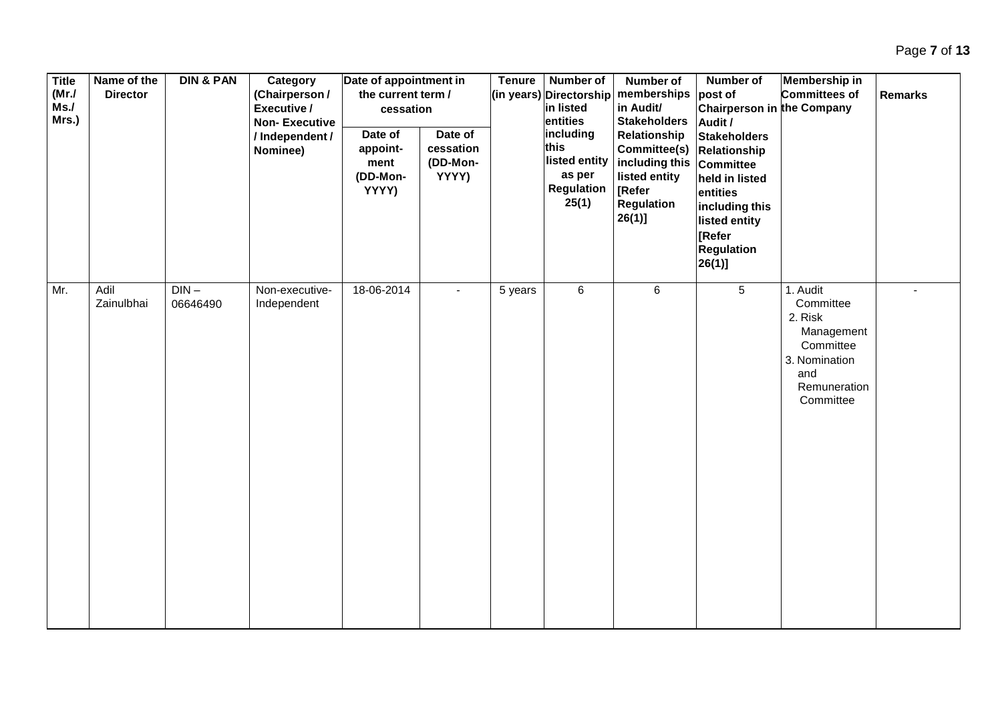| <b>Title</b><br>(MrJ)<br>Ms.<br>Mrs.) | Name of the<br><b>Director</b> | <b>DIN &amp; PAN</b> | Category<br>(Chairperson /<br>Executive /<br><b>Non-Executive</b><br>/ Independent /<br>Nominee) | Date of appointment in<br>the current term /<br>cessation<br>Date of<br>appoint-<br>ment<br>(DD-Mon-<br>YYYY) | Date of<br>cessation<br>(DD-Mon-<br>YYYY) | <b>Tenure</b> | <b>Number of</b><br>(in years) Directorship<br>in listed<br>entities<br>including<br>this<br>listed entity<br>as per<br><b>Regulation</b><br>25(1) | <b>Number of</b><br>memberships<br>in Audit/<br><b>Stakeholders</b><br>Relationship<br><b>Committee(s) Relationship</b><br>including this<br>listed entity<br>[Refer<br><b>Regulation</b><br>$26(1)$ ] | Number of<br>post of<br><b>Chairperson in the Company</b><br>Audit /<br><b>Stakeholders</b><br><b>Committee</b><br>held in listed<br>entities<br>including this<br>listed entity<br>[Refer<br><b>Regulation</b><br> 26(1) | Membership in<br>Committees of                                                                                   | <b>Remarks</b> |
|---------------------------------------|--------------------------------|----------------------|--------------------------------------------------------------------------------------------------|---------------------------------------------------------------------------------------------------------------|-------------------------------------------|---------------|----------------------------------------------------------------------------------------------------------------------------------------------------|--------------------------------------------------------------------------------------------------------------------------------------------------------------------------------------------------------|---------------------------------------------------------------------------------------------------------------------------------------------------------------------------------------------------------------------------|------------------------------------------------------------------------------------------------------------------|----------------|
| Mr.                                   | Adil<br>Zainulbhai             | $DIN -$<br>06646490  | Non-executive-<br>Independent                                                                    | 18-06-2014                                                                                                    | $\blacksquare$                            | 5 years       | $6\phantom{a}$                                                                                                                                     | $\,6\,$                                                                                                                                                                                                | $5\overline{)}$                                                                                                                                                                                                           | 1. Audit<br>Committee<br>2. Risk<br>Management<br>Committee<br>3. Nomination<br>and<br>Remuneration<br>Committee |                |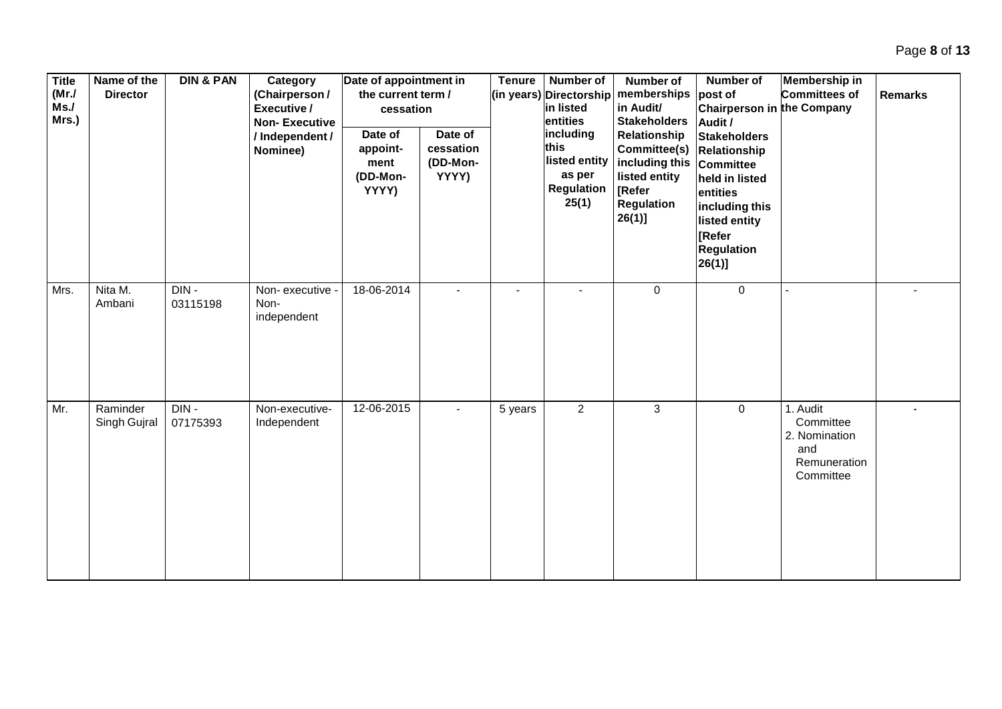| <b>Title</b><br>(MrJ)<br>Ms.<br>Mrs.) | Name of the<br><b>Director</b> | <b>DIN &amp; PAN</b> | Category<br>(Chairperson /<br>Executive /<br><b>Non-Executive</b><br>/ Independent /<br>Nominee) | Date of appointment in<br>the current term /<br>cessation<br>Date of<br>appoint-<br>ment<br>(DD-Mon-<br>YYYY) | Date of<br>cessation<br>(DD-Mon-<br>YYYY) | <b>Tenure</b> | Number of<br>(in years) Directorship<br>in listed<br>entities<br>including<br>this<br>listed entity<br>as per<br><b>Regulation</b><br>25(1) | Number of<br>memberships<br>in Audit/<br><b>Stakeholders</b><br>Relationship<br>Committee(s) Relationship<br>including this<br>listed entity<br>[Refer<br><b>Regulation</b><br>$26(1)$ ] | Number of<br>post of<br>Chairperson in the Company<br>Audit /<br><b>Stakeholders</b><br><b>Committee</b><br>held in listed<br>entities<br>including this<br>listed entity<br><b>Refer</b><br><b>Regulation</b><br>$26(1)$ ] | <b>Membership in</b><br><b>Committees of</b>                               | <b>Remarks</b> |
|---------------------------------------|--------------------------------|----------------------|--------------------------------------------------------------------------------------------------|---------------------------------------------------------------------------------------------------------------|-------------------------------------------|---------------|---------------------------------------------------------------------------------------------------------------------------------------------|------------------------------------------------------------------------------------------------------------------------------------------------------------------------------------------|-----------------------------------------------------------------------------------------------------------------------------------------------------------------------------------------------------------------------------|----------------------------------------------------------------------------|----------------|
| Mrs.                                  | Nita M.<br>Ambani              | $DIN -$<br>03115198  | Non-executive -<br>Non-<br>independent                                                           | 18-06-2014                                                                                                    |                                           |               |                                                                                                                                             | $\mathbf 0$                                                                                                                                                                              | $\Omega$                                                                                                                                                                                                                    |                                                                            |                |
| Mr.                                   | Raminder<br>Singh Gujral       | DIN-<br>07175393     | Non-executive-<br>Independent                                                                    | 12-06-2015                                                                                                    |                                           | 5 years       | $\overline{2}$                                                                                                                              | 3                                                                                                                                                                                        | $\mathbf 0$                                                                                                                                                                                                                 | 1. Audit<br>Committee<br>2. Nomination<br>and<br>Remuneration<br>Committee |                |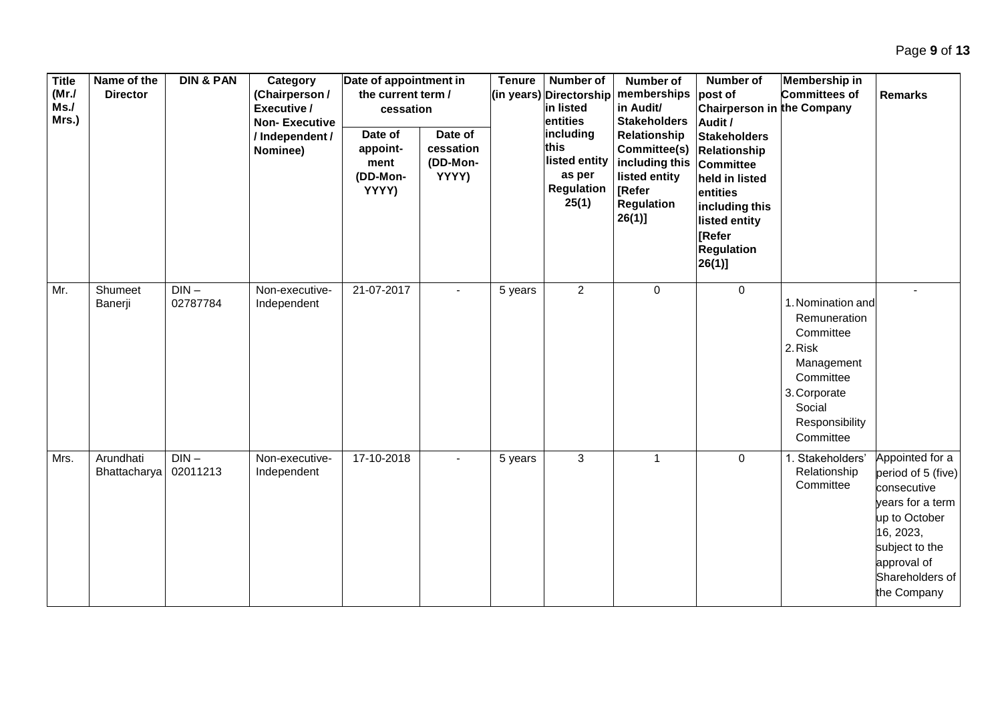| <b>Title</b><br>(MrJ)<br>Ms.<br>Mrs.) | Name of the<br><b>Director</b>   | <b>DIN &amp; PAN</b> | Category<br>(Chairperson /<br>Executive /<br><b>Non-Executive</b><br>/Independent/<br>Nominee) | Date of appointment in<br>the current term /<br>cessation<br>Date of<br>appoint-<br>ment<br>(DD-Mon-<br>YYYY) | Date of<br>cessation<br>(DD-Mon-<br>YYYY) | <b>Tenure</b> | <b>Number of</b><br>(in years) Directorship<br>in listed<br>entities<br>including<br>this<br>listed entity<br>as per<br><b>Regulation</b><br>25(1) | Number of<br>memberships<br>in Audit/<br><b>Stakeholders</b><br>Relationship<br>Committee(s)<br>including this<br>listed entity<br>[Refer<br><b>Regulation</b><br>$26(1)$ ] | <b>Number of</b><br>post of<br>Chairperson in the Company<br>Audit /<br><b>Stakeholders</b><br><b>Relationship</b><br><b>Committee</b><br>held in listed<br>entities<br>including this<br>listed entity<br>Refer<br><b>Regulation</b><br> 26(1) | Membership in<br>Committees of                                                                                                                | <b>Remarks</b>                                                                                                                                                            |
|---------------------------------------|----------------------------------|----------------------|------------------------------------------------------------------------------------------------|---------------------------------------------------------------------------------------------------------------|-------------------------------------------|---------------|----------------------------------------------------------------------------------------------------------------------------------------------------|-----------------------------------------------------------------------------------------------------------------------------------------------------------------------------|-------------------------------------------------------------------------------------------------------------------------------------------------------------------------------------------------------------------------------------------------|-----------------------------------------------------------------------------------------------------------------------------------------------|---------------------------------------------------------------------------------------------------------------------------------------------------------------------------|
| Mr.                                   | Shumeet<br>Banerji               | $DIN -$<br>02787784  | Non-executive-<br>Independent                                                                  | 21-07-2017                                                                                                    |                                           | 5 years       | $\overline{2}$                                                                                                                                     | $\mathbf 0$                                                                                                                                                                 | $\mathbf 0$                                                                                                                                                                                                                                     | 1. Nomination and<br>Remuneration<br>Committee<br>2. Risk<br>Management<br>Committee<br>3. Corporate<br>Social<br>Responsibility<br>Committee |                                                                                                                                                                           |
| Mrs.                                  | Arundhati<br><b>Bhattacharya</b> | $DIN -$<br>02011213  | Non-executive-<br>Independent                                                                  | 17-10-2018                                                                                                    |                                           | 5 years       | 3                                                                                                                                                  | $\mathbf{1}$                                                                                                                                                                | $\mathbf 0$                                                                                                                                                                                                                                     | 1. Stakeholders'<br>Relationship<br>Committee                                                                                                 | Appointed for a<br>period of 5 (five)<br>consecutive<br>years for a term<br>up to October<br>16, 2023,<br>subject to the<br>approval of<br>Shareholders of<br>the Company |

Page **9** of **13**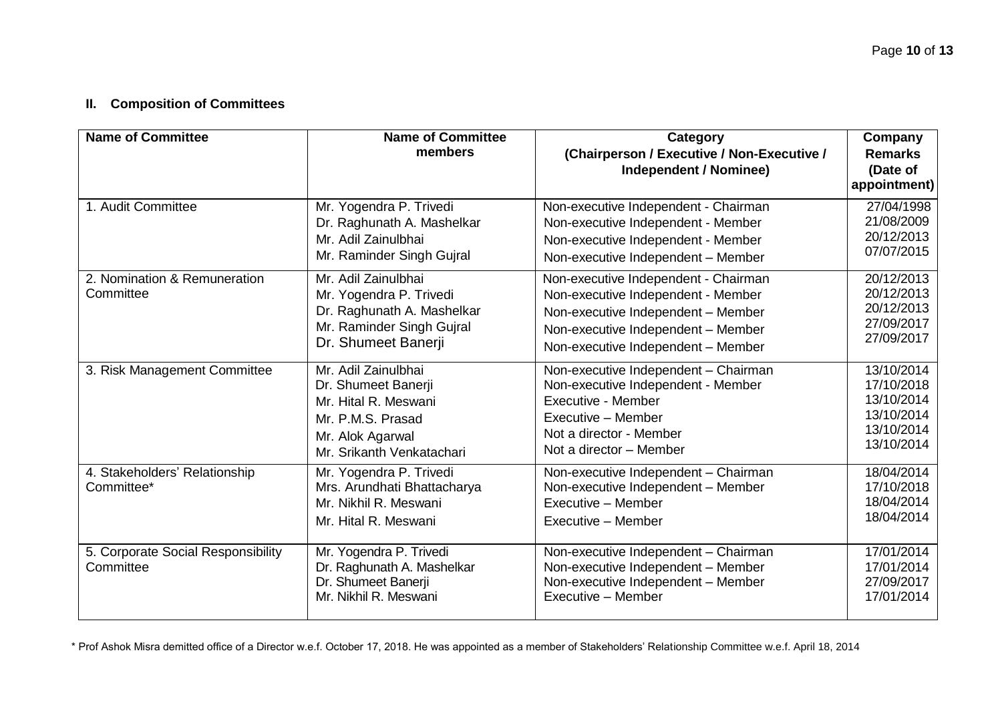### **II. Composition of Committees**

| <b>Name of Committee</b>                        | <b>Name of Committee</b><br>members                                                                                                      | <b>Category</b><br>(Chairperson / Executive / Non-Executive /<br><b>Independent / Nominee)</b>                                                                                               | Company<br><b>Remarks</b><br>(Date of<br>appointment)                            |
|-------------------------------------------------|------------------------------------------------------------------------------------------------------------------------------------------|----------------------------------------------------------------------------------------------------------------------------------------------------------------------------------------------|----------------------------------------------------------------------------------|
| 1. Audit Committee                              | Mr. Yogendra P. Trivedi<br>Dr. Raghunath A. Mashelkar<br>Mr. Adil Zainulbhai<br>Mr. Raminder Singh Gujral                                | Non-executive Independent - Chairman<br>Non-executive Independent - Member<br>Non-executive Independent - Member<br>Non-executive Independent - Member                                       | 27/04/1998<br>21/08/2009<br>20/12/2013<br>07/07/2015                             |
| 2. Nomination & Remuneration<br>Committee       | Mr. Adil Zainulbhai<br>Mr. Yogendra P. Trivedi<br>Dr. Raghunath A. Mashelkar<br>Mr. Raminder Singh Gujral<br>Dr. Shumeet Banerji         | Non-executive Independent - Chairman<br>Non-executive Independent - Member<br>Non-executive Independent - Member<br>Non-executive Independent - Member<br>Non-executive Independent - Member | 20/12/2013<br>20/12/2013<br>20/12/2013<br>27/09/2017<br>27/09/2017               |
| 3. Risk Management Committee                    | Mr. Adil Zainulbhai<br>Dr. Shumeet Banerji<br>Mr. Hital R. Meswani<br>Mr. P.M.S. Prasad<br>Mr. Alok Agarwal<br>Mr. Srikanth Venkatachari | Non-executive Independent - Chairman<br>Non-executive Independent - Member<br>Executive - Member<br>Executive - Member<br>Not a director - Member<br>Not a director - Member                 | 13/10/2014<br>17/10/2018<br>13/10/2014<br>13/10/2014<br>13/10/2014<br>13/10/2014 |
| 4. Stakeholders' Relationship<br>Committee*     | Mr. Yogendra P. Trivedi<br>Mrs. Arundhati Bhattacharya<br>Mr. Nikhil R. Meswani<br>Mr. Hital R. Meswani                                  | Non-executive Independent - Chairman<br>Non-executive Independent - Member<br>Executive - Member<br>Executive - Member                                                                       | 18/04/2014<br>17/10/2018<br>18/04/2014<br>18/04/2014                             |
| 5. Corporate Social Responsibility<br>Committee | Mr. Yogendra P. Trivedi<br>Dr. Raghunath A. Mashelkar<br>Dr. Shumeet Banerji<br>Mr. Nikhil R. Meswani                                    | Non-executive Independent - Chairman<br>Non-executive Independent - Member<br>Non-executive Independent - Member<br>Executive - Member                                                       | 17/01/2014<br>17/01/2014<br>27/09/2017<br>17/01/2014                             |

\* Prof Ashok Misra demitted office of a Director w.e.f. October 17, 2018. He was appointed as a member of Stakeholders' Relationship Committee w.e.f. April 18, 2014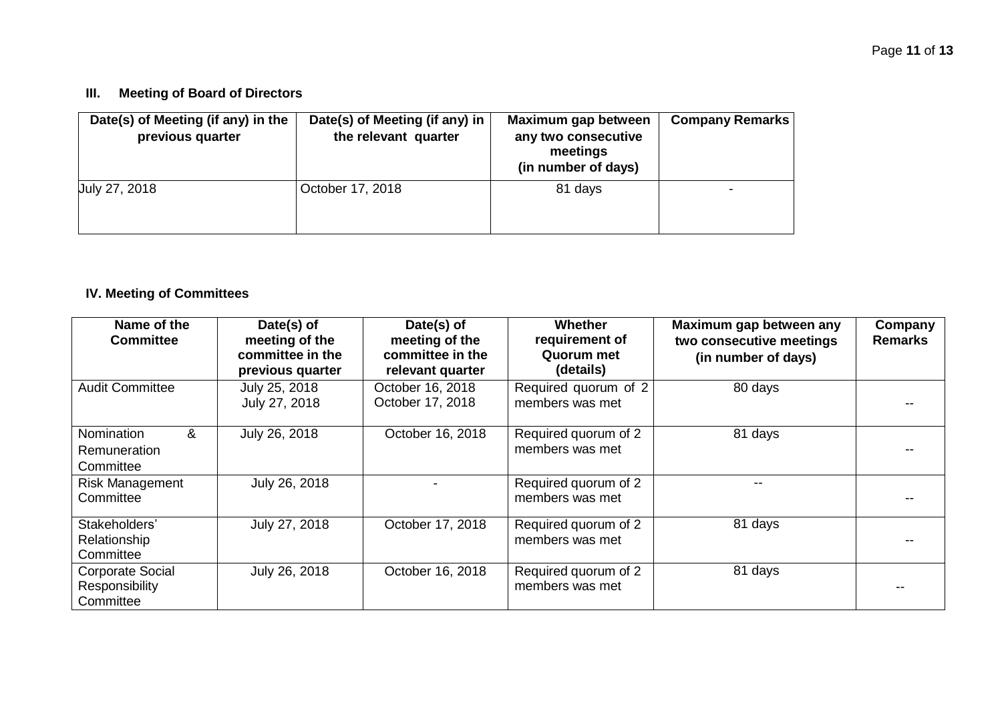### **III. Meeting of Board of Directors**

| Date(s) of Meeting (if any) in the<br>previous quarter | Date(s) of Meeting (if any) in<br>the relevant quarter | Maximum gap between<br>any two consecutive<br>meetings<br>(in number of days) | <b>Company Remarks</b> |
|--------------------------------------------------------|--------------------------------------------------------|-------------------------------------------------------------------------------|------------------------|
| July 27, 2018                                          | October 17, 2018                                       | 81 days                                                                       |                        |

# **IV. Meeting of Committees**

| Name of the<br><b>Committee</b>                        | Date(s) of<br>meeting of the<br>committee in the<br>previous quarter | Date(s) of<br>meeting of the<br>committee in the<br>relevant quarter | <b>Whether</b><br>requirement of<br>Quorum met<br>(details) | Maximum gap between any<br>two consecutive meetings<br>(in number of days) | Company<br><b>Remarks</b> |
|--------------------------------------------------------|----------------------------------------------------------------------|----------------------------------------------------------------------|-------------------------------------------------------------|----------------------------------------------------------------------------|---------------------------|
| <b>Audit Committee</b>                                 | July 25, 2018<br>July 27, 2018                                       | October 16, 2018<br>October 17, 2018                                 | Required quorum of 2<br>members was met                     | 80 days                                                                    |                           |
| &<br>Nomination<br>Remuneration<br>Committee           | July 26, 2018                                                        | October 16, 2018                                                     | Required quorum of 2<br>members was met                     | 81 days                                                                    |                           |
| <b>Risk Management</b><br>Committee                    | July 26, 2018                                                        |                                                                      | Required quorum of 2<br>members was met                     |                                                                            |                           |
| Stakeholders'<br>Relationship<br>Committee             | July 27, 2018                                                        | October 17, 2018                                                     | Required quorum of 2<br>members was met                     | 81 days                                                                    |                           |
| <b>Corporate Social</b><br>Responsibility<br>Committee | July 26, 2018                                                        | October 16, 2018                                                     | Required quorum of 2<br>members was met                     | 81 days                                                                    |                           |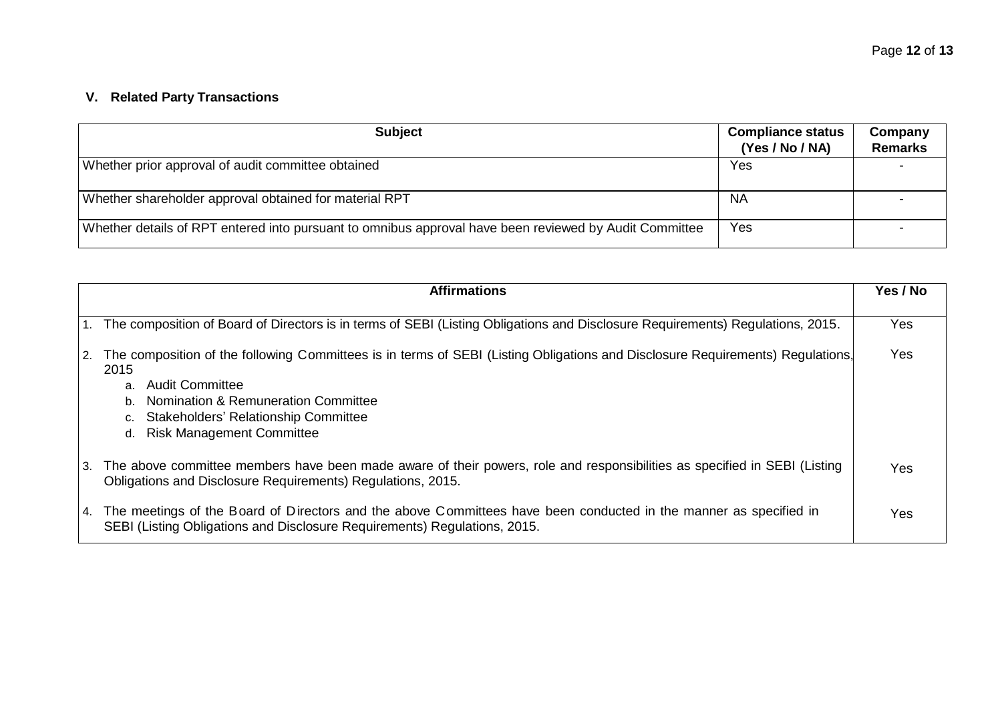# **V. Related Party Transactions**

| <b>Subject</b>                                                                                         | <b>Compliance status</b><br>(Yes / No / NA) | Company<br><b>Remarks</b> |
|--------------------------------------------------------------------------------------------------------|---------------------------------------------|---------------------------|
| Whether prior approval of audit committee obtained                                                     | Yes                                         |                           |
| Whether shareholder approval obtained for material RPT                                                 | <b>NA</b>                                   |                           |
| Whether details of RPT entered into pursuant to omnibus approval have been reviewed by Audit Committee | Yes                                         |                           |

|    | <b>Affirmations</b>                                                                                                                                                                                                                                                                                   | Yes / No |
|----|-------------------------------------------------------------------------------------------------------------------------------------------------------------------------------------------------------------------------------------------------------------------------------------------------------|----------|
| 1. | The composition of Board of Directors is in terms of SEBI (Listing Obligations and Disclosure Requirements) Regulations, 2015.                                                                                                                                                                        | Yes      |
| 2. | The composition of the following Committees is in terms of SEBI (Listing Obligations and Disclosure Requirements) Regulations,<br>2015<br>Audit Committee<br>a.<br>Nomination & Remuneration Committee<br>b.<br><b>Stakeholders' Relationship Committee</b><br><b>Risk Management Committee</b><br>d. | Yes      |
| 3. | The above committee members have been made aware of their powers, role and responsibilities as specified in SEBI (Listing<br>Obligations and Disclosure Requirements) Regulations, 2015.                                                                                                              | Yes      |
| 4. | The meetings of the Board of Directors and the above Committees have been conducted in the manner as specified in<br>SEBI (Listing Obligations and Disclosure Requirements) Regulations, 2015.                                                                                                        | Yes      |